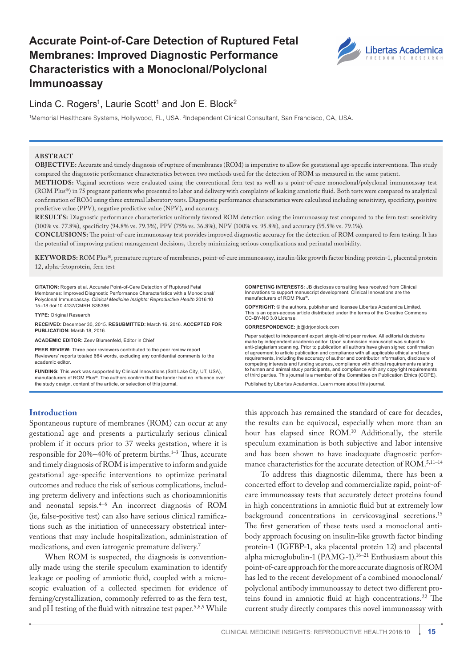# **Accurate Point-of-Care Detection of Ruptured Fetal Membranes: Improved Diagnostic Performance Characteristics with a Monoclonal/Polyclonal Immunoassay**



## Linda C. Rogers<sup>1</sup>, Laurie Scott<sup>1</sup> and Jon E. Block<sup>2</sup>

1Memorial Healthcare Systems, Hollywood, FL, USA. 2Independent Clinical Consultant, San Francisco, CA, USA.

#### **ABSTR ACT**

**OBJECTIVE:** Accurate and timely diagnosis of rupture of membranes (ROM) is imperative to allow for gestational age-specific interventions. This study compared the diagnostic performance characteristics between two methods used for the detection of ROM as measured in the same patient.

**METHODS:** Vaginal secretions were evaluated using the conventional fern test as well as a point-of-care monoclonal/polyclonal immunoassay test (ROM Plus®) in 75 pregnant patients who presented to labor and delivery with complaints of leaking amniotic fluid. Both tests were compared to analytical confirmation of ROM using three external laboratory tests. Diagnostic performance characteristics were calculated including sensitivity, specificity, positive predictive value (PPV), negative predictive value (NPV), and accuracy.

**RESULTS:** Diagnostic performance characteristics uniformly favored ROM detection using the immunoassay test compared to the fern test: sensitivity (100% vs. 77.8%), specificity (94.8% vs. 79.3%), PPV (75% vs. 36.8%), NPV (100% vs. 95.8%), and accuracy (95.5% vs. 79.1%).

**CONCLUSIONS:** The point-of-care immunoassay test provides improved diagnostic accuracy for the detection of ROM compared to fern testing. It has the potential of improving patient management decisions, thereby minimizing serious complications and perinatal morbidity.

**KEY WORDS:** ROM Plus®, premature rupture of membranes, point-of-care immunoassay, insulin-like growth factor binding protein-1, placental protein 12, alpha-fetoprotein, fern test

**CITATION:** Rogers et al. Accurate Point-of-Care Detection of Ruptured Fetal Membranes: Improved Diagnostic Performance Characteristics with a Monoclonal/ Polyclonal Immunoassay. *Clinical Medicine Insights: Reproductive Health* 2016:10 15–18 doi[:10.4137/CMRH.S38386.](http://dx.doi.org/10.4137/CMRH.S38386)

**TYPE:** Original Research

**RECEIVED:** December 30, 2015. **RESUBMITTED:** March 16, 2016. **ACCEPTED FOR PUBLICATION:** March 18, 2016.

**ACADEMIC EDITOR:** Zeev Blumenfeld, Editor in Chief

**PEER REVIEW:** Three peer reviewers contributed to the peer review report. Reviewers' reports totaled 664 words, excluding any confidential comments to the academic editor.

**FUNDING:** This work was supported by Clinical Innovations (Salt Lake City, UT, USA), manufacturers of ROM Plus®. The authors confirm that the funder had no influence over the study design, content of the article, or selection of this journal.

#### **Introduction**

Spontaneous rupture of membranes (ROM) can occur at any gestational age and presents a particularly serious clinical problem if it occurs prior to 37 weeks gestation, where it is responsible for 20%–40% of preterm births.1–3 Thus, accurate and timely diagnosis of ROM is imperative to inform and guide gestational age-specific interventions to optimize perinatal outcomes and reduce the risk of serious complications, including preterm delivery and infections such as chorioamnionitis and neonatal sepsis.4–6 An incorrect diagnosis of ROM (ie, false-positive test) can also have serious clinical ramifications such as the initiation of unnecessary obstetrical interventions that may include hospitalization, administration of medications, and even iatrogenic premature delivery.7

When ROM is suspected, the diagnosis is conventionally made using the sterile speculum examination to identify leakage or pooling of amniotic fluid, coupled with a microscopic evaluation of a collected specimen for evidence of ferning/crystallization, commonly referred to as the fern test, and pH testing of the fluid with nitrazine test paper.<sup>5,8,9</sup> While

**COMPETING INTERESTS:** JB discloses consulting fees received from Clinical Innovations to support manuscript development. Clinical Innovations are the milovations to support manufacturers of ROM Plus®.

**COPYRIGHT:** © the authors, publisher and licensee Libertas Academica Limited. This is an open-access article distributed under the terms of the [Creative Commons](http://creativecommons.org/licenses/by-nc/3.0/)  [CC-BY-NC 3.0 License.](http://creativecommons.org/licenses/by-nc/3.0/)

**CORRESPONDENCE:** [jb@drjonblock.com](mailto:jb@drjonblock.com) 

Paper subject to independent expert single-blind peer review. All editorial decisions made by independent academic editor. Upon submission manuscript was subject to anti-plagiarism scanning. Prior to publication all authors have given signed confirmation of agreement to article publication and compliance with all applicable ethical and legal requirements, including the accuracy of author and contributor information, disclosure of competing interests and funding sources, compliance with ethical requirements relating to human and animal study participants, and compliance with any copyright requirements of third parties. This journal is a member of the Committee on Publication Ethics (COPE).

Published by [Libertas Academica.](http://www.la-press.com) Learn more about [this journal.](http://www.la-press.com/clinical-medicine-insights-reproductive-health-journal-j114)

this approach has remained the standard of care for decades, the results can be equivocal, especially when more than an hour has elapsed since ROM.10 Additionally, the sterile speculum examination is both subjective and labor intensive and has been shown to have inadequate diagnostic performance characteristics for the accurate detection of ROM.<sup>5,11-14</sup>

To address this diagnostic dilemma, there has been a concerted effort to develop and commercialize rapid, point-ofcare immunoassay tests that accurately detect proteins found in high concentrations in amniotic fluid but at extremely low background concentrations in cervicovaginal secretions.15 The first generation of these tests used a monoclonal antibody approach focusing on insulin-like growth factor binding protein-1 (IGFBP-1, aka placental protein 12) and placental alpha microglobulin-1 (PAMG-1).16–21 Enthusiasm about this point-of-care approach for the more accurate diagnosis of ROM has led to the recent development of a combined monoclonal/ polyclonal antibody immunoassay to detect two different proteins found in amniotic fluid at high concentrations.<sup>22</sup> The current study directly compares this novel immunoassay with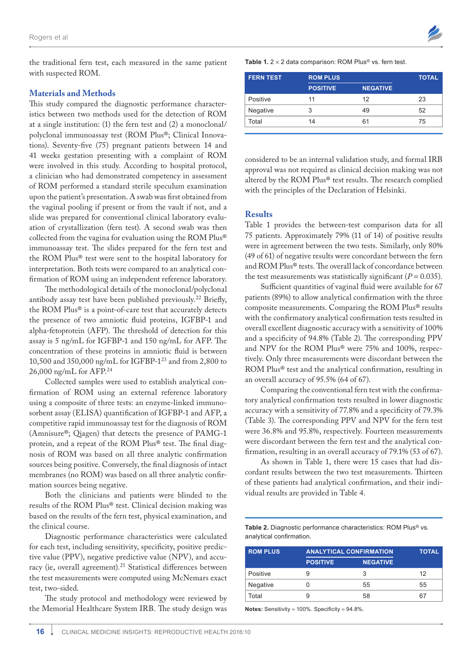the traditional fern test, each measured in the same patient with suspected ROM.

#### **Materials and Methods**

This study compared the diagnostic performance characteristics between two methods used for the detection of ROM at a single institution: (1) the fern test and (2) a monoclonal/ polyclonal immunoassay test (ROM Plus®; Clinical Innovations). Seventy-five (75) pregnant patients between 14 and 41 weeks gestation presenting with a complaint of ROM were involved in this study. According to hospital protocol, a clinician who had demonstrated competency in assessment of ROM performed a standard sterile speculum examination upon the patient's presentation. A swab was first obtained from the vaginal pooling if present or from the vault if not, and a slide was prepared for conventional clinical laboratory evaluation of crystallization (fern test). A second swab was then collected from the vagina for evaluation using the ROM Plus® immunoassay test. The slides prepared for the fern test and the ROM Plus® test were sent to the hospital laboratory for interpretation. Both tests were compared to an analytical confirmation of ROM using an independent reference laboratory.

The methodological details of the monoclonal/polyclonal antibody assay test have been published previously.22 Briefly, the ROM Plus® is a point-of-care test that accurately detects the presence of two amniotic fluid proteins, IGFBP-1 and alpha-fetoprotein (AFP). The threshold of detection for this assay is 5 ng/mL for IGFBP-1 and 150 ng/mL for AFP. The concentration of these proteins in amniotic fluid is between 10,500 and 350,000 ng/mL for IGFBP-123 and from 2,800 to 26,000 ng/mL for AFP.<sup>24</sup>

Collected samples were used to establish analytical confirmation of ROM using an external reference laboratory using a composite of three tests: an enzyme-linked immunosorbent assay (ELISA) quantification of IGFBP-1 and AFP, a competitive rapid immunoassay test for the diagnosis of ROM (Amnisure®; Qiagen) that detects the presence of PAMG-1 protein, and a repeat of the ROM Plus® test. The final diagnosis of ROM was based on all three analytic confirmation sources being positive. Conversely, the final diagnosis of intact membranes (no ROM) was based on all three analytic confirmation sources being negative.

Both the clinicians and patients were blinded to the results of the ROM Plus® test. Clinical decision making was based on the results of the fern test, physical examination, and the clinical course.

Diagnostic performance characteristics were calculated for each test, including sensitivity, specificity, positive predictive value (PPV), negative predictive value (NPV), and accuracy (ie, overall agreement).25 Statistical differences between the test measurements were computed using McNemars exact test, two-sided.

The study protocol and methodology were reviewed by the Memorial Healthcare System IRB. The study design was **Table 1.**  $2 \times 2$  data comparison: ROM Plus® vs. fern test.

| <b>ROM PLUS</b> |                 | <b>TOTAL</b> |
|-----------------|-----------------|--------------|
| <b>POSITIVE</b> | <b>NEGATIVE</b> |              |
| 11              | 12              | 23           |
| 3               | 49              | 52           |
| 14              | 61              | 75           |
|                 |                 |              |

considered to be an internal validation study, and formal IRB approval was not required as clinical decision making was not altered by the ROM Plus® test results. The research complied with the principles of the Declaration of Helsinki.

## **Results**

Table 1 provides the between-test comparison data for all 75 patients. Approximately 79% (11 of 14) of positive results were in agreement between the two tests. Similarly, only 80% (49 of 61) of negative results were concordant between the fern and ROM Plus® tests. The overall lack of concordance between the test measurements was statistically significant  $(P = 0.035)$ .

Sufficient quantities of vaginal fluid were available for 67 patients (89%) to allow analytical confirmation with the three composite measurements. Comparing the ROM Plus® results with the confirmatory analytical confirmation tests resulted in overall excellent diagnostic accuracy with a sensitivity of 100% and a specificity of 94.8% (Table 2). The corresponding PPV and NPV for the ROM Plus® were 75% and 100%, respectively. Only three measurements were discordant between the ROM Plus® test and the analytical confirmation, resulting in an overall accuracy of 95.5% (64 of 67).

Comparing the conventional fern test with the confirmatory analytical confirmation tests resulted in lower diagnostic accuracy with a sensitivity of 77.8% and a specificity of 79.3% (Table 3). The corresponding PPV and NPV for the fern test were 36.8% and 95.8%, respectively. Fourteen measurements were discordant between the fern test and the analytical confirmation, resulting in an overall accuracy of 79.1% (53 of 67).

As shown in Table 1, there were 15 cases that had discordant results between the two test measurements. Thirteen of these patients had analytical confirmation, and their individual results are provided in Table 4.

**Table 2.** Diagnostic performance characteristics: ROM Plus® vs. analytical confirmation.

| <b>ROM PLUS</b> | <b>ANALYTICAL CONFIRMATION</b> |                 | <b>TOTAL</b> |
|-----------------|--------------------------------|-----------------|--------------|
|                 | <b>POSITIVE</b>                | <b>NEGATIVE</b> |              |
| Positive        |                                | 3               | 12           |
| Negative        |                                | 55              | 55           |
| Total           |                                | 58              | 67           |

**Notes:** Sensitivity = 100%. Specificity = 94.8%.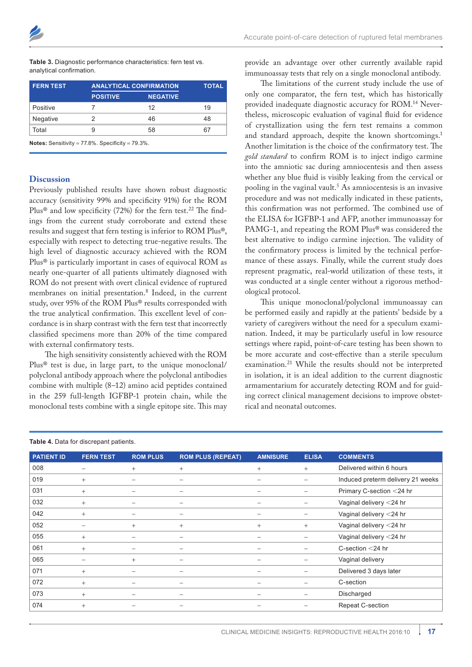| Table 3. Diagnostic performance characteristics: fern test vs. |
|----------------------------------------------------------------|
| analytical confirmation.                                       |

| <b>FERN TEST</b> | <b>ANALYTICAL CONFIRMATION</b>                              |                 | <b>TOTAL</b> |  |  |
|------------------|-------------------------------------------------------------|-----------------|--------------|--|--|
|                  | <b>POSITIVE</b>                                             | <b>NEGATIVE</b> |              |  |  |
| Positive         |                                                             | 12              | 19           |  |  |
| Negative         | 2                                                           | 46              | 48           |  |  |
| Total            | 9                                                           | 58              | 67           |  |  |
|                  | <b>Notes:</b> Sensitivity = $77.8\%$ Specificity = $79.3\%$ |                 |              |  |  |

**Notes:** Sensitivity = 77.8%. Specificity = 79.3%.

## **Discussion**

Previously published results have shown robust diagnostic accuracy (sensitivity 99% and specificity 91%) for the ROM Plus® and low specificity (72%) for the fern test.<sup>22</sup> The findings from the current study corroborate and extend these results and suggest that fern testing is inferior to ROM Plus®, especially with respect to detecting true-negative results. The high level of diagnostic accuracy achieved with the ROM Plus® is particularly important in cases of equivocal ROM as nearly one-quarter of all patients ultimately diagnosed with ROM do not present with overt clinical evidence of ruptured membranes on initial presentation.<sup>8</sup> Indeed, in the current study, over 95% of the ROM Plus® results corresponded with the true analytical confirmation. This excellent level of concordance is in sharp contrast with the fern test that incorrectly classified specimens more than 20% of the time compared with external confirmatory tests.

The high sensitivity consistently achieved with the ROM Plus® test is due, in large part, to the unique monoclonal/ polyclonal antibody approach where the polyclonal antibodies combine with multiple (8–12) amino acid peptides contained in the 259 full-length IGFBP-1 protein chain, while the monoclonal tests combine with a single epitope site. This may provide an advantage over other currently available rapid immunoassay tests that rely on a single monoclonal antibody.

The limitations of the current study include the use of only one comparator, the fern test, which has historically provided inadequate diagnostic accuracy for ROM.14 Nevertheless, microscopic evaluation of vaginal fluid for evidence of crystallization using the fern test remains a common and standard approach, despite the known shortcomings.<sup>1</sup> Another limitation is the choice of the confirmatory test. The *gold standard* to confirm ROM is to inject indigo carmine into the amniotic sac during amniocentesis and then assess whether any blue fluid is visibly leaking from the cervical or pooling in the vaginal vault.<sup>5</sup> As amniocentesis is an invasive procedure and was not medically indicated in these patients, this confirmation was not performed. The combined use of the ELISA for IGFBP-1 and AFP, another immunoassay for PAMG-1, and repeating the ROM Plus® was considered the best alternative to indigo carmine injection. The validity of the confirmatory process is limited by the technical performance of these assays. Finally, while the current study does represent pragmatic, real-world utilization of these tests, it was conducted at a single center without a rigorous methodological protocol.

This unique monoclonal/polyclonal immunoassay can be performed easily and rapidly at the patients' bedside by a variety of caregivers without the need for a speculum examination. Indeed, it may be particularly useful in low resource settings where rapid, point-of-care testing has been shown to be more accurate and cost-effective than a sterile speculum examination.21 While the results should not be interpreted in isolation, it is an ideal addition to the current diagnostic armamentarium for accurately detecting ROM and for guiding correct clinical management decisions to improve obstetrical and neonatal outcomes.

| <b>PATIENT ID</b> | <b>FERN TEST</b> | <b>ROM PLUS</b> | <b>ROM PLUS (REPEAT)</b> | <b>AMNISURE</b> | <b>ELISA</b>      | <b>COMMENTS</b>                   |
|-------------------|------------------|-----------------|--------------------------|-----------------|-------------------|-----------------------------------|
| 008               |                  | $^{+}$          | $+$                      | $+$             | $+$               | Delivered within 6 hours          |
| 019               | $+$              |                 | $\overline{\phantom{0}}$ |                 |                   | Induced preterm delivery 21 weeks |
| 031               | $+$              |                 |                          |                 |                   | Primary C-section <24 hr          |
| 032               | $+$              |                 |                          |                 |                   | Vaginal delivery <24 hr           |
| 042               | $+$              |                 | -                        |                 |                   | Vaginal delivery <24 hr           |
| 052               |                  | $+$             | $+$                      | $+$             | $+$               | Vaginal delivery <24 hr           |
| 055               | $+$              |                 | -                        |                 | $\qquad \qquad -$ | Vaginal delivery <24 hr           |
| 061               | $+$              |                 | -                        |                 |                   | C-section $<$ 24 hr               |
| 065               |                  | $+$             | -                        |                 |                   | Vaginal delivery                  |
| 071               | $^{+}$           |                 | -                        |                 |                   | Delivered 3 days later            |
| 072               | $+$              |                 | -                        |                 |                   | C-section                         |
| 073               | $+$              |                 | -                        |                 |                   | Discharged                        |
| 074               | $+$              |                 |                          |                 |                   | Repeat C-section                  |

#### **Table 4.** Data for discrepant patients.